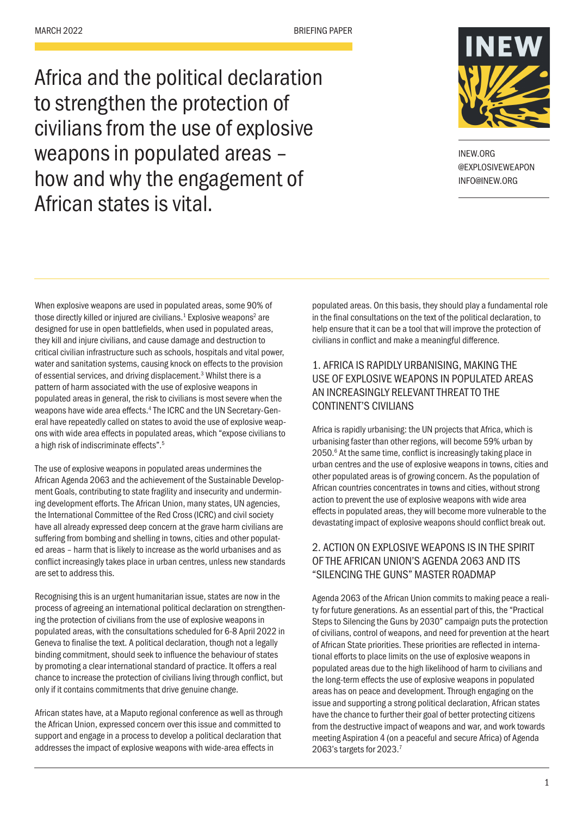Africa and the political declaration to strengthen the protection of civilians from the use of explosive weapons in populated areas – how and why the engagement of African states is vital.



INEW.ORG @EXPLOSIVEWEAPON INFO@INEW.ORG

When explosive weapons are used in populated areas, some 90% of those directly killed or injured are civilians. $1$  Explosive weapons<sup>2</sup> are designed for use in open battlefields, when used in populated areas, they kill and injure civilians, and cause damage and destruction to critical civilian infrastructure such as schools, hospitals and vital power, water and sanitation systems, causing knock on effects to the provision of essential services, and driving displacement.<sup>3</sup> Whilst there is a pattern of harm associated with the use of explosive weapons in populated areas in general, the risk to civilians is most severe when the weapons have wide area effects.<sup>4</sup> The ICRC and the UN Secretary-General have repeatedly called on states to avoid the use of explosive weapons with wide area effects in populated areas, which "expose civilians to a high risk of indiscriminate effects".5

The use of explosive weapons in populated areas undermines the African Agenda 2063 and the achievement of the Sustainable Development Goals, contributing to state fragility and insecurity and undermining development efforts. The African Union, many states, UN agencies, the International Committee of the Red Cross (ICRC) and civil society have all already expressed deep concern at the grave harm civilians are suffering from bombing and shelling in towns, cities and other populated areas – harm that is likely to increase as the world urbanises and as conflict increasingly takes place in urban centres, unless new standards are set to address this.

Recognising this is an urgent humanitarian issue, states are now in the process of agreeing an international political declaration on strengthening the protection of civilians from the use of explosive weapons in populated areas, with the consultations scheduled for 6-8 April 2022 in Geneva to finalise the text. A political declaration, though not a legally binding commitment, should seek to influence the behaviour of states by promoting a clear international standard of practice. It offers a real chance to increase the protection of civilians living through conflict, but only if it contains commitments that drive genuine change.

African states have, at a Maputo regional conference as well as through the African Union, expressed concern over this issue and committed to support and engage in a process to develop a political declaration that addresses the impact of explosive weapons with wide-area effects in

populated areas. On this basis, they should play a fundamental role in the final consultations on the text of the political declaration, to help ensure that it can be a tool that will improve the protection of civilians in conflict and make a meaningful difference.

### 1. AFRICA IS RAPIDLY URBANISING, MAKING THE USE OF EXPLOSIVE WEAPONS IN POPULATED AREAS AN INCREASINGLY RELEVANT THREAT TO THE CONTINENT'S CIVILIANS

Africa is rapidly urbanising: the UN projects that Africa, which is urbanising faster than other regions, will become 59% urban by 2050.<sup>6</sup> At the same time, conflict is increasingly taking place in urban centres and the use of explosive weapons in towns, cities and other populated areas is of growing concern. As the population of African countries concentrates in towns and cities, without strong action to prevent the use of explosive weapons with wide area effects in populated areas, they will become more vulnerable to the devastating impact of explosive weapons should conflict break out.

### 2. ACTION ON EXPLOSIVE WEAPONS IS IN THE SPIRIT OF THE AFRICAN UNION'S AGENDA 2063 AND ITS "SILENCING THE GUNS" MASTER ROADMAP

Agenda 2063 of the African Union commits to making peace a reality for future generations. As an essential part of this, the "Practical Steps to Silencing the Guns by 2030" campaign puts the protection of civilians, control of weapons, and need for prevention at the heart of African State priorities. These priorities are reflected in international efforts to place limits on the use of explosive weapons in populated areas due to the high likelihood of harm to civilians and the long-term effects the use of explosive weapons in populated areas has on peace and development. Through engaging on the issue and supporting a strong political declaration, African states have the chance to further their goal of better protecting citizens from the destructive impact of weapons and war, and work towards meeting Aspiration 4 (on a peaceful and secure Africa) of Agenda 2063's targets for 2023.7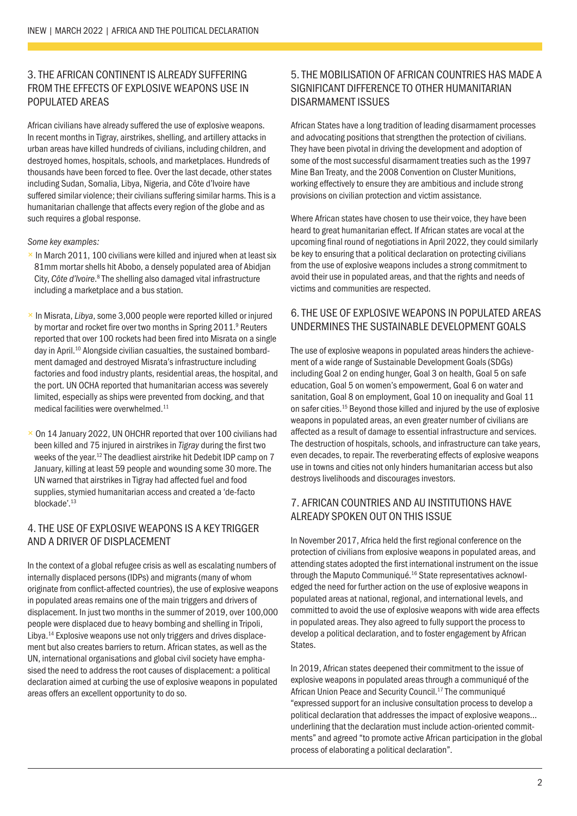### 3. THE AFRICAN CONTINENT IS ALREADY SUFFERING FROM THE EFFECTS OF EXPLOSIVE WEAPONS USE IN POPULATED AREAS

African civilians have already suffered the use of explosive weapons. In recent months in Tigray, airstrikes, shelling, and artillery attacks in urban areas have killed hundreds of civilians, including children, and destroyed homes, hospitals, schools, and marketplaces. Hundreds of thousands have been forced to flee. Over the last decade, other states including Sudan, Somalia, Libya, Nigeria, and Côte d'Ivoire have suffered similar violence; their civilians suffering similar harms. This is a humanitarian challenge that affects every region of the globe and as such requires a global response.

#### *Some key examples:*

- $\times$  In March 2011, 100 civilians were killed and injured when at least six 81mm mortar shells hit Abobo, a densely populated area of Abidjan City, Côte d'Ivoire.<sup>8</sup> The shelling also damaged vital infrastructure including a marketplace and a bus station.
- × In Misrata, *Libya*, some 3,000 people were reported killed or injured by mortar and rocket fire over two months in Spring 2011.<sup>9</sup> Reuters reported that over 100 rockets had been fired into Misrata on a single day in April.10 Alongside civilian casualties, the sustained bombardment damaged and destroyed Misrata's infrastructure including factories and food industry plants, residential areas, the hospital, and the port. UN OCHA reported that humanitarian access was severely limited, especially as ships were prevented from docking, and that medical facilities were overwhelmed.<sup>11</sup>
- $\times$  On 14 January 2022, UN OHCHR reported that over 100 civilians had been killed and 75 injured in airstrikes in *Tigray* during the first two weeks of the year.12 The deadliest airstrike hit Dedebit IDP camp on 7 January, killing at least 59 people and wounding some 30 more. The UN warned that airstrikes in Tigray had affected fuel and food supplies, stymied humanitarian access and created a 'de-facto blockade'.<sup>13</sup>

### 4. THE USE OF EXPLOSIVE WEAPONS IS A KEY TRIGGER AND A DRIVER OF DISPLACEMENT

In the context of a global refugee crisis as well as escalating numbers of internally displaced persons (IDPs) and migrants (many of whom originate from conflict-affected countries), the use of explosive weapons in populated areas remains one of the main triggers and drivers of displacement. In just two months in the summer of 2019, over 100,000 people were displaced due to heavy bombing and shelling in Tripoli, Libya.<sup>14</sup> Explosive weapons use not only triggers and drives displacement but also creates barriers to return. African states, as well as the UN, international organisations and global civil society have emphasised the need to address the root causes of displacement: a political declaration aimed at curbing the use of explosive weapons in populated areas offers an excellent opportunity to do so.

### 5. THE MOBILISATION OF AFRICAN COUNTRIES HAS MADE A SIGNIFICANT DIFFERENCE TO OTHER HUMANITARIAN DISARMAMENT ISSUES

African States have a long tradition of leading disarmament processes and advocating positions that strengthen the protection of civilians. They have been pivotal in driving the development and adoption of some of the most successful disarmament treaties such as the 1997 Mine Ban Treaty, and the 2008 Convention on Cluster Munitions, working effectively to ensure they are ambitious and include strong provisions on civilian protection and victim assistance.

Where African states have chosen to use their voice, they have been heard to great humanitarian effect. If African states are vocal at the upcoming final round of negotiations in April 2022, they could similarly be key to ensuring that a political declaration on protecting civilians from the use of explosive weapons includes a strong commitment to avoid their use in populated areas, and that the rights and needs of victims and communities are respected.

#### 6. THE USE OF EXPLOSIVE WEAPONS IN POPULATED AREAS UNDERMINES THE SUSTAINABLE DEVELOPMENT GOALS

The use of explosive weapons in populated areas hinders the achievement of a wide range of Sustainable Development Goals (SDGs) including Goal 2 on ending hunger, Goal 3 on health, Goal 5 on safe education, Goal 5 on women's empowerment, Goal 6 on water and sanitation, Goal 8 on employment, Goal 10 on inequality and Goal 11 on safer cities.15 Beyond those killed and injured by the use of explosive weapons in populated areas, an even greater number of civilians are affected as a result of damage to essential infrastructure and services. The destruction of hospitals, schools, and infrastructure can take years, even decades, to repair. The reverberating effects of explosive weapons use in towns and cities not only hinders humanitarian access but also destroys livelihoods and discourages investors.

#### 7. AFRICAN COUNTRIES AND AU INSTITUTIONS HAVE ALREADY SPOKEN OUT ON THIS ISSUE

In November 2017, Africa held the first regional conference on the protection of civilians from explosive weapons in populated areas, and attending states adopted the first international instrument on the issue through the Maputo Communiqué.16 State representatives acknowledged the need for further action on the use of explosive weapons in populated areas at national, regional, and international levels, and committed to avoid the use of explosive weapons with wide area effects in populated areas. They also agreed to fully support the process to develop a political declaration, and to foster engagement by African States.

In 2019, African states deepened their commitment to the issue of explosive weapons in populated areas through a communiqué of the African Union Peace and Security Council.<sup>17</sup> The communiqué "expressed support for an inclusive consultation process to develop a political declaration that addresses the impact of explosive weapons… underlining that the declaration must include action-oriented commitments" and agreed "to promote active African participation in the global process of elaborating a political declaration".